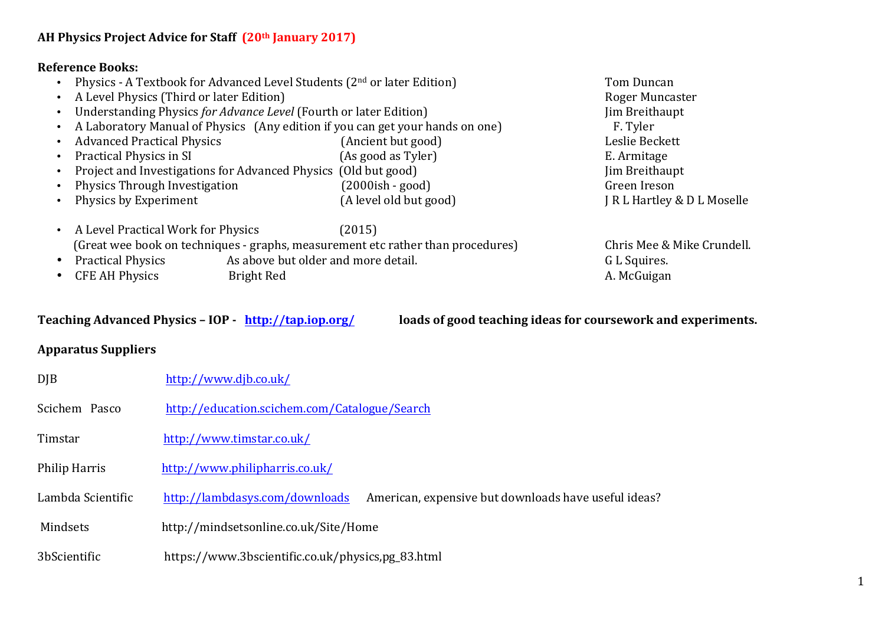#### AH Physics Project Advice for Staff (20<sup>th</sup> January 2017)

#### **Reference Books:**

- Physics A Textbook for Advanced Level Students (2<sup>nd</sup> or later Edition) Tom Duncan Tom Duncan<br>• A Level Physics (Third or later Edition) Roger Muncaster
- 
- 4 Level Physics (Third or later Edition)<br>Understanding Physics *for Advance Level* (Fourth or later Edition) Funderstanding Physics *for Advance Level* (Fourth or later Edition) **Understanding Physics** *for Advance Level* **(Fourth or later Edition)**
- A Laboratory Manual of Physics (Any edition if you can get your hands on one) E. Tyler
- Advanced!Practical!Physics!!!!!!!!!!!!!!!!!!!!!!!!!!!!!!!!!!!!!!!!!!!(Ancient!but!good) !!!!!!!!!!!!!!!!! Leslie!Beckett
- Practical Physics in SI **I** is the state of the Second as Tyler) **1. In the Second SE. Armitage** I and the Second as Tyler in the Second as Tyler in the Second as Tyler in the Second as Tyler in the Second SE. Armitage
- Project and Investigations for Advanced Physics (Old but good) [Jim Breithaupt] Jim Breithaupt
- Physics Through Investigation  $(2000 \text{ish} \cdot \text{good})$  Green Ireson
- Physics by Experiment (A level old but good) I R L Hartley & D L Moselle
- A Level Practical Work for Physics (2015) (Great wee book on techniques - graphs, measurement etc rather than procedures) Chris Mee & Mike Crundell.
- Practical Physics As above but older and more detail. G L Squires. G L Squires.<br>• CFE AH Physics Bright Red
- CFE AH Physics

#### **Teaching Advanced Physics – IOP - http://tap.iop.org/ 10ads of good teaching ideas for coursework and experiments.**

### **Apparatus#Suppliers**

DJB!!!!!!!!!!!!!!!!!!!!!!!!!!!!!!!!!!!!!!!http://www.djb.co.uk/ Scichem Pasco http://education.scichem.com/Catalogue/Search Timstar http://www.timstar.co.uk/ Philip Harris http://www.philipharris.co.uk/ Lambda!Scientific! !!!!!!!!!http://lambdasys.com/downloads!!!!!!American,!expensive!but!downloads!have!useful!ideas? Mindsets http://mindsetsonline.co.uk/Site/Home 3bScientific https://www.3bscientific.co.uk/physics,pg 83.html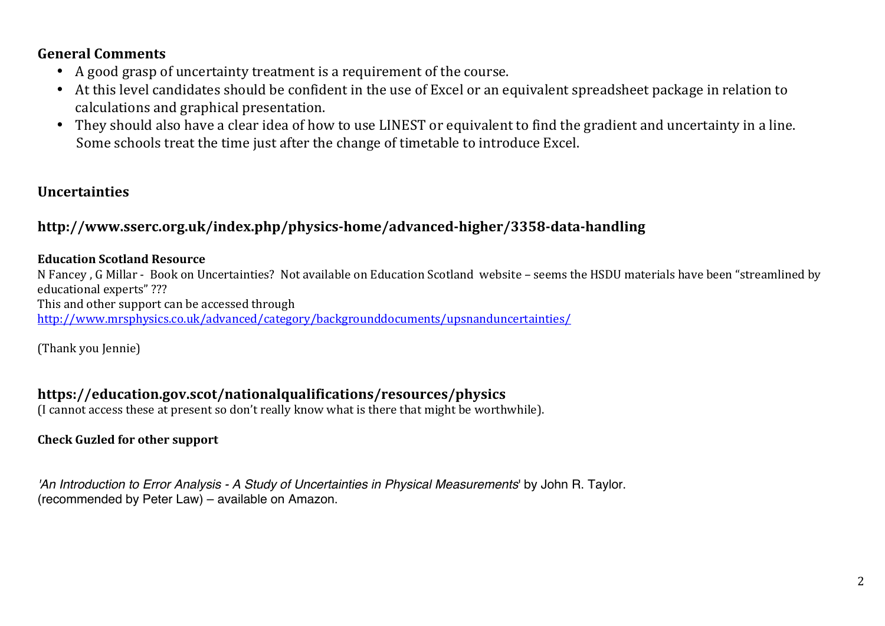### **General Comments**

- A good grasp of uncertainty treatment is a requirement of the course.
- At this level candidates should be confident in the use of Excel or an equivalent spreadsheet package in relation to calculations and graphical presentation.
- They should also have a clear idea of how to use LINEST or equivalent to find the gradient and uncertainty in a line. Some schools treat the time just after the change of timetable to introduce Excel.

### **Uncertainties**

## http://www.sserc.org.uk/index.php/physics-home/advanced-higher/3358-data-handling

### **Education Scotland Resource**

N Fancey, G Millar - Book on Uncertainties? Not available on Education Scotland website – seems the HSDU materials have been "streamlined by educational experts"??? This and other support can be accessed through

http://www.mrsphysics.co.uk/advanced/category/backgrounddocuments/upsnanduncertainties/

(Thank you Jennie)

## **https://education.gov.scot/nationalqualifications/resources/physics**

(I cannot access these at present so don't really know what is there that might be worthwhile).

### **Check Guzled for other support**

*'An Introduction to Error Analysis - A Study of Uncertainties in Physical Measurements*' by John R. Taylor. (recommended by Peter Law) – available on Amazon.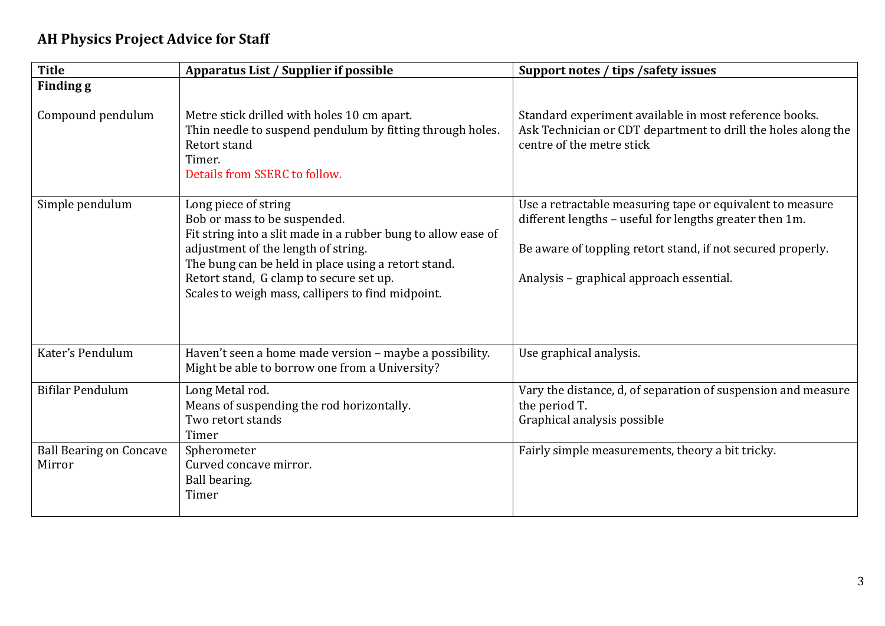# **AH Physics Project Advice for Staff**

| <b>Title</b>                             | Apparatus List / Supplier if possible                                                                                                                                                                                                                                                                               | Support notes / tips /safety issues                                                                                                                                                                                             |
|------------------------------------------|---------------------------------------------------------------------------------------------------------------------------------------------------------------------------------------------------------------------------------------------------------------------------------------------------------------------|---------------------------------------------------------------------------------------------------------------------------------------------------------------------------------------------------------------------------------|
| <b>Finding g</b>                         |                                                                                                                                                                                                                                                                                                                     |                                                                                                                                                                                                                                 |
| Compound pendulum                        | Metre stick drilled with holes 10 cm apart.<br>Thin needle to suspend pendulum by fitting through holes.<br>Retort stand<br>Timer.<br>Details from SSERC to follow.                                                                                                                                                 | Standard experiment available in most reference books.<br>Ask Technician or CDT department to drill the holes along the<br>centre of the metre stick                                                                            |
| Simple pendulum                          | Long piece of string<br>Bob or mass to be suspended.<br>Fit string into a slit made in a rubber bung to allow ease of<br>adjustment of the length of string.<br>The bung can be held in place using a retort stand.<br>Retort stand, G clamp to secure set up.<br>Scales to weigh mass, callipers to find midpoint. | Use a retractable measuring tape or equivalent to measure<br>different lengths - useful for lengths greater then 1m.<br>Be aware of toppling retort stand, if not secured properly.<br>Analysis - graphical approach essential. |
| Kater's Pendulum                         | Haven't seen a home made version - maybe a possibility.<br>Might be able to borrow one from a University?                                                                                                                                                                                                           | Use graphical analysis.                                                                                                                                                                                                         |
| <b>Bifilar Pendulum</b>                  | Long Metal rod.<br>Means of suspending the rod horizontally.<br>Two retort stands<br>Timer                                                                                                                                                                                                                          | Vary the distance, d, of separation of suspension and measure<br>the period T.<br>Graphical analysis possible                                                                                                                   |
| <b>Ball Bearing on Concave</b><br>Mirror | Spherometer<br>Curved concave mirror.<br>Ball bearing.<br>Timer                                                                                                                                                                                                                                                     | Fairly simple measurements, theory a bit tricky.                                                                                                                                                                                |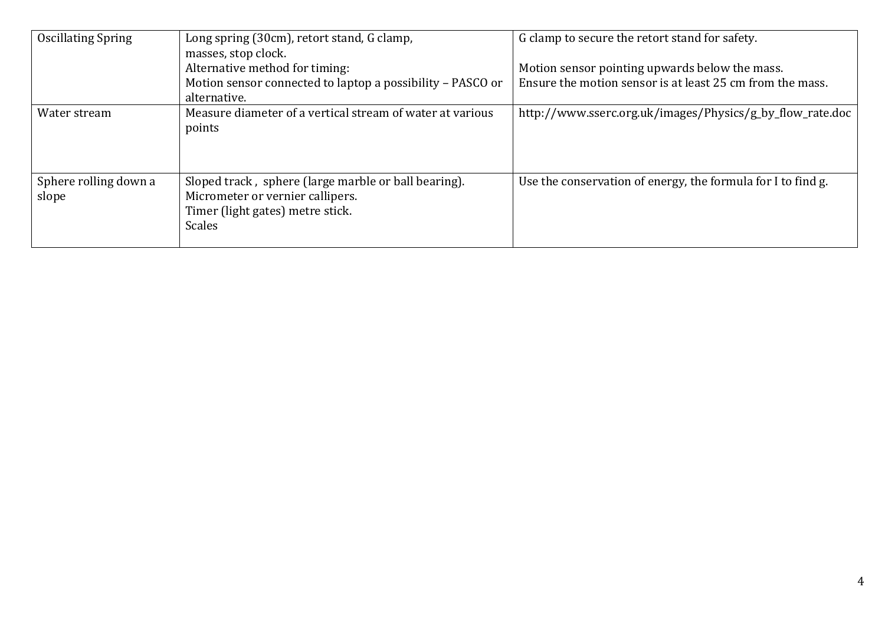| <b>Oscillating Spring</b>      | Long spring (30cm), retort stand, G clamp,<br>masses, stop clock.<br>Alternative method for timing:<br>Motion sensor connected to laptop a possibility - PASCO or | G clamp to secure the retort stand for safety.<br>Motion sensor pointing upwards below the mass.<br>Ensure the motion sensor is at least 25 cm from the mass. |
|--------------------------------|-------------------------------------------------------------------------------------------------------------------------------------------------------------------|---------------------------------------------------------------------------------------------------------------------------------------------------------------|
|                                | alternative.                                                                                                                                                      |                                                                                                                                                               |
| Water stream                   | Measure diameter of a vertical stream of water at various<br>points                                                                                               | http://www.sserc.org.uk/images/Physics/g_by_flow_rate.doc                                                                                                     |
| Sphere rolling down a<br>slope | Sloped track, sphere (large marble or ball bearing).<br>Micrometer or vernier callipers.<br>Timer (light gates) metre stick.<br><b>Scales</b>                     | Use the conservation of energy, the formula for I to find g.                                                                                                  |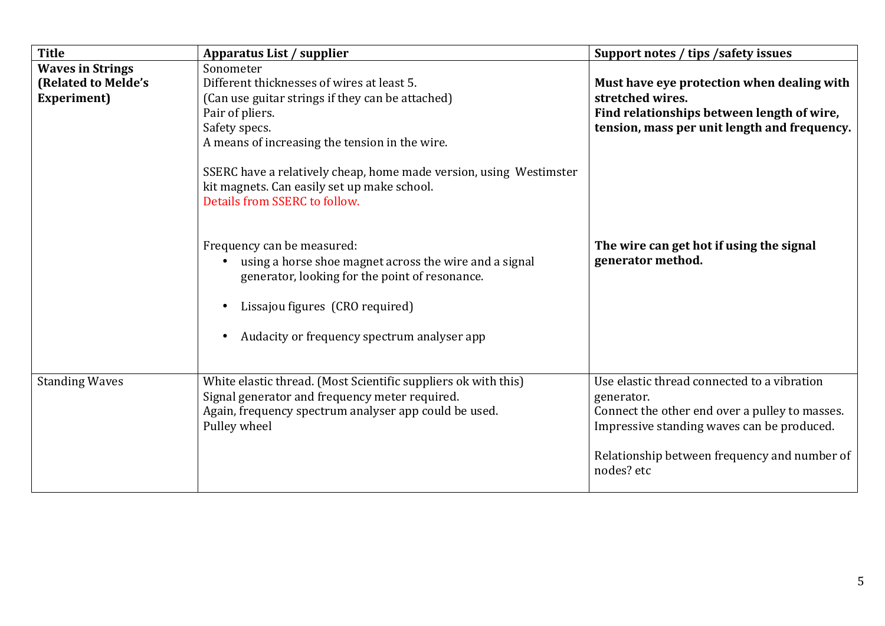| <b>Title</b>                                                  | Apparatus List / supplier                                                                                                                                                                                                                                                                                                                               | Support notes / tips / safety issues                                                                                                                                                                                    |
|---------------------------------------------------------------|---------------------------------------------------------------------------------------------------------------------------------------------------------------------------------------------------------------------------------------------------------------------------------------------------------------------------------------------------------|-------------------------------------------------------------------------------------------------------------------------------------------------------------------------------------------------------------------------|
| <b>Waves in Strings</b><br>(Related to Melde's<br>Experiment) | Sonometer<br>Different thicknesses of wires at least 5.<br>(Can use guitar strings if they can be attached)<br>Pair of pliers.<br>Safety specs.<br>A means of increasing the tension in the wire.<br>SSERC have a relatively cheap, home made version, using Westimster<br>kit magnets. Can easily set up make school.<br>Details from SSERC to follow. | Must have eye protection when dealing with<br>stretched wires.<br>Find relationships between length of wire,<br>tension, mass per unit length and frequency.                                                            |
|                                                               | Frequency can be measured:<br>using a horse shoe magnet across the wire and a signal<br>$\bullet$<br>generator, looking for the point of resonance.<br>Lissajou figures (CRO required)<br>$\bullet$<br>Audacity or frequency spectrum analyser app<br>$\bullet$                                                                                         | The wire can get hot if using the signal<br>generator method.                                                                                                                                                           |
| <b>Standing Waves</b>                                         | White elastic thread. (Most Scientific suppliers ok with this)<br>Signal generator and frequency meter required.<br>Again, frequency spectrum analyser app could be used.<br>Pulley wheel                                                                                                                                                               | Use elastic thread connected to a vibration<br>generator.<br>Connect the other end over a pulley to masses.<br>Impressive standing waves can be produced.<br>Relationship between frequency and number of<br>nodes? etc |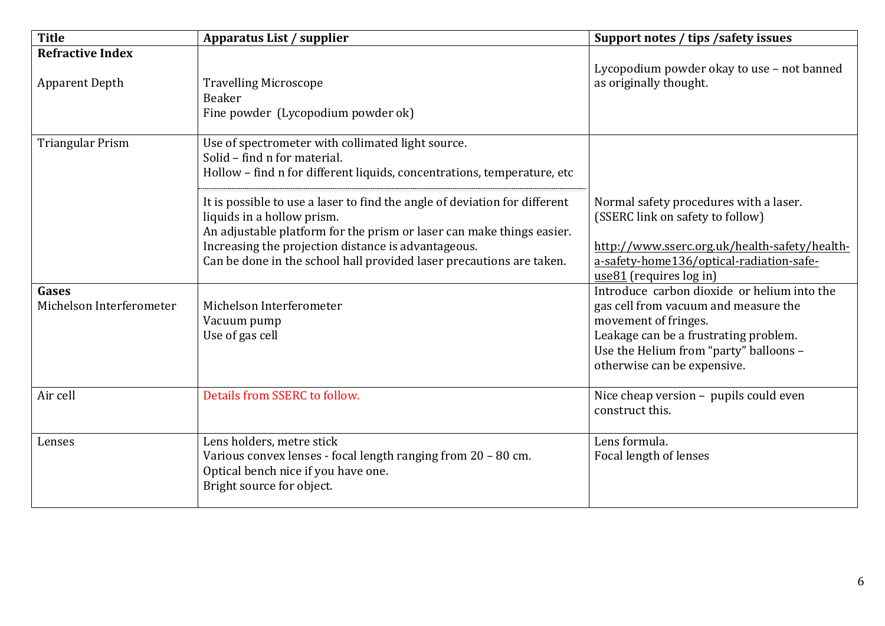| <b>Title</b>                                     | Apparatus List / supplier                                                                                                                                                                                                                                                                                                                                                                                                                                                        | Support notes / tips /safety issues                                                                                                                                                                                           |
|--------------------------------------------------|----------------------------------------------------------------------------------------------------------------------------------------------------------------------------------------------------------------------------------------------------------------------------------------------------------------------------------------------------------------------------------------------------------------------------------------------------------------------------------|-------------------------------------------------------------------------------------------------------------------------------------------------------------------------------------------------------------------------------|
| <b>Refractive Index</b><br><b>Apparent Depth</b> | <b>Travelling Microscope</b><br><b>Beaker</b><br>Fine powder (Lycopodium powder ok)                                                                                                                                                                                                                                                                                                                                                                                              | Lycopodium powder okay to use - not banned<br>as originally thought.                                                                                                                                                          |
| <b>Triangular Prism</b>                          | Use of spectrometer with collimated light source.<br>Solid - find n for material.<br>Hollow - find n for different liquids, concentrations, temperature, etc<br>It is possible to use a laser to find the angle of deviation for different<br>liquids in a hollow prism.<br>An adjustable platform for the prism or laser can make things easier.<br>Increasing the projection distance is advantageous.<br>Can be done in the school hall provided laser precautions are taken. | Normal safety procedures with a laser.<br>(SSERC link on safety to follow)<br>http://www.sserc.org.uk/health-safety/health-<br>a-safety-home136/optical-radiation-safe-<br>$use81$ (requires log in)                          |
| Gases<br>Michelson Interferometer                | Michelson Interferometer<br>Vacuum pump<br>Use of gas cell                                                                                                                                                                                                                                                                                                                                                                                                                       | Introduce carbon dioxide or helium into the<br>gas cell from vacuum and measure the<br>movement of fringes.<br>Leakage can be a frustrating problem.<br>Use the Helium from "party" balloons -<br>otherwise can be expensive. |
| Air cell                                         | Details from SSERC to follow.                                                                                                                                                                                                                                                                                                                                                                                                                                                    | Nice cheap version - pupils could even<br>construct this.                                                                                                                                                                     |
| Lenses                                           | Lens holders, metre stick<br>Various convex lenses - focal length ranging from 20 - 80 cm.<br>Optical bench nice if you have one.<br>Bright source for object.                                                                                                                                                                                                                                                                                                                   | Lens formula.<br>Focal length of lenses                                                                                                                                                                                       |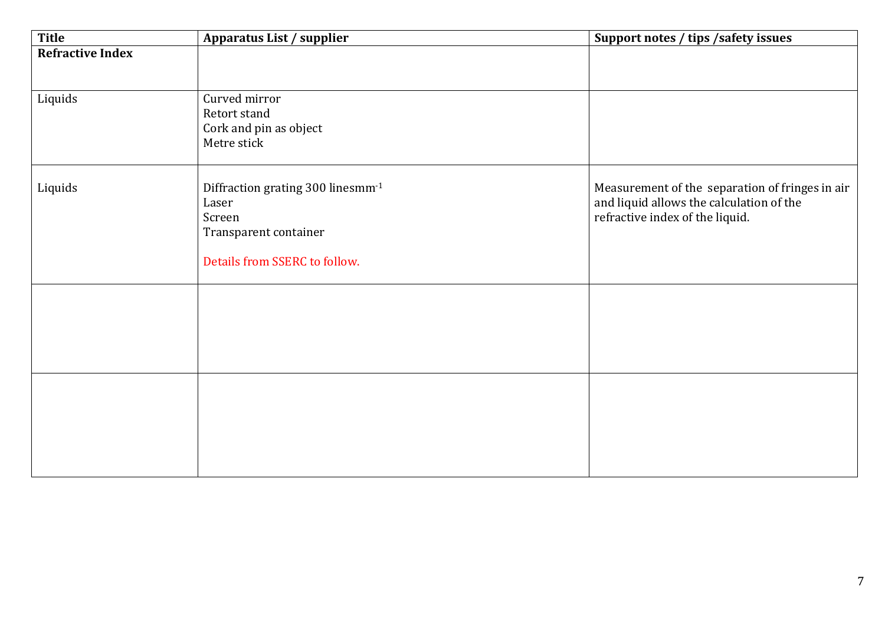| <b>Title</b>            | <b>Apparatus List / supplier</b>                                                                               | Support notes / tips / safety issues                                                                                           |
|-------------------------|----------------------------------------------------------------------------------------------------------------|--------------------------------------------------------------------------------------------------------------------------------|
| <b>Refractive Index</b> |                                                                                                                |                                                                                                                                |
| Liquids                 | Curved mirror<br>Retort stand<br>Cork and pin as object<br>Metre stick                                         |                                                                                                                                |
| Liquids                 | Diffraction grating 300 linesmm-1<br>Laser<br>Screen<br>Transparent container<br>Details from SSERC to follow. | Measurement of the separation of fringes in air<br>and liquid allows the calculation of the<br>refractive index of the liquid. |
|                         |                                                                                                                |                                                                                                                                |
|                         |                                                                                                                |                                                                                                                                |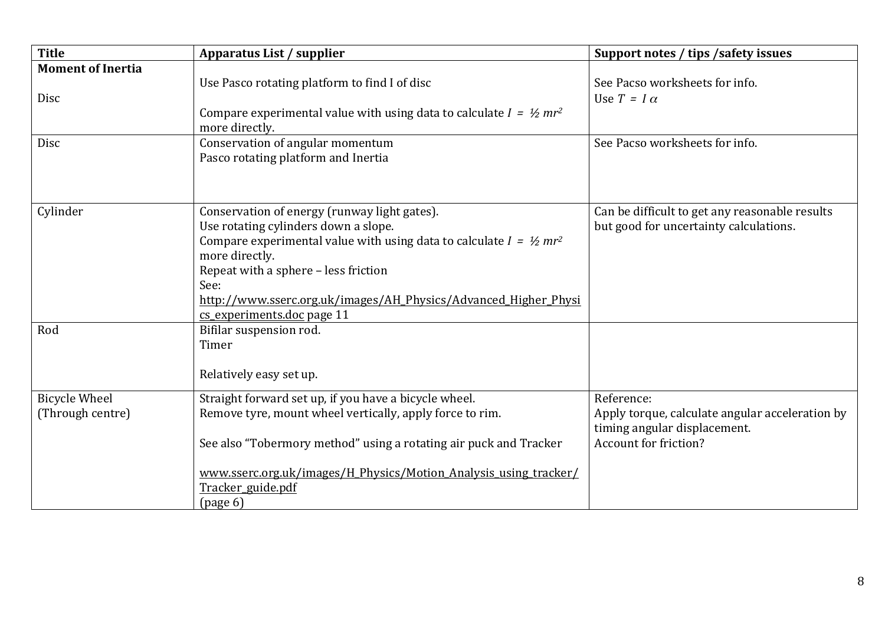| <b>Title</b>                             | Apparatus List / supplier                                                                                                                                                                                                                                                                                                                  | Support notes / tips / safety issues                                                                                   |
|------------------------------------------|--------------------------------------------------------------------------------------------------------------------------------------------------------------------------------------------------------------------------------------------------------------------------------------------------------------------------------------------|------------------------------------------------------------------------------------------------------------------------|
| <b>Moment of Inertia</b>                 |                                                                                                                                                                                                                                                                                                                                            |                                                                                                                        |
| Disc                                     | Use Pasco rotating platform to find I of disc<br>Compare experimental value with using data to calculate $I = \frac{1}{2} m r^2$<br>more directly.                                                                                                                                                                                         | See Pacso worksheets for info.<br>Use $T = I \alpha$                                                                   |
| Disc                                     | Conservation of angular momentum<br>Pasco rotating platform and Inertia                                                                                                                                                                                                                                                                    | See Pacso worksheets for info.                                                                                         |
| Cylinder                                 | Conservation of energy (runway light gates).<br>Use rotating cylinders down a slope.<br>Compare experimental value with using data to calculate $I = \frac{1}{2} m r^2$<br>more directly.<br>Repeat with a sphere - less friction<br>See:<br>http://www.sserc.org.uk/images/AH_Physics/Advanced_Higher_Physi<br>cs_experiments.doc page 11 | Can be difficult to get any reasonable results<br>but good for uncertainty calculations.                               |
| Rod                                      | Bifilar suspension rod.<br>Timer<br>Relatively easy set up.                                                                                                                                                                                                                                                                                |                                                                                                                        |
| <b>Bicycle Wheel</b><br>(Through centre) | Straight forward set up, if you have a bicycle wheel.<br>Remove tyre, mount wheel vertically, apply force to rim.<br>See also "Tobermory method" using a rotating air puck and Tracker<br>www.sserc.org.uk/images/H_Physics/Motion_Analysis_using_tracker/<br>Tracker_guide.pdf<br>(page 6)                                                | Reference:<br>Apply torque, calculate angular acceleration by<br>timing angular displacement.<br>Account for friction? |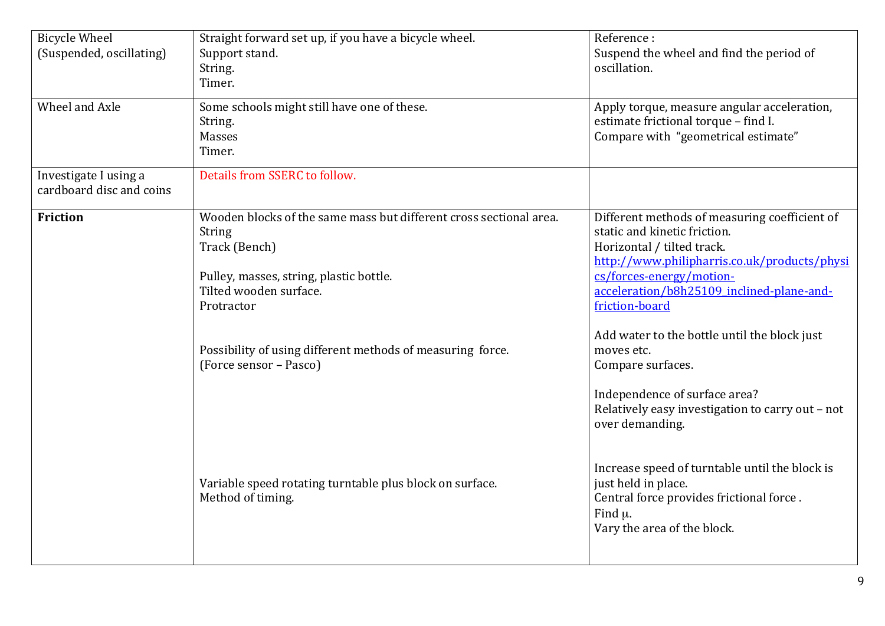| <b>Bicycle Wheel</b><br>(Suspended, oscillating)  | Straight forward set up, if you have a bicycle wheel.<br>Support stand.<br>String.<br>Timer.                                                                                                                                                                                    | Reference:<br>Suspend the wheel and find the period of<br>oscillation.                                                                                                                                                                                                                                                                                                                                                                            |
|---------------------------------------------------|---------------------------------------------------------------------------------------------------------------------------------------------------------------------------------------------------------------------------------------------------------------------------------|---------------------------------------------------------------------------------------------------------------------------------------------------------------------------------------------------------------------------------------------------------------------------------------------------------------------------------------------------------------------------------------------------------------------------------------------------|
| Wheel and Axle                                    | Some schools might still have one of these.<br>String.<br>Masses<br>Timer.                                                                                                                                                                                                      | Apply torque, measure angular acceleration,<br>estimate frictional torque - find I.<br>Compare with "geometrical estimate"                                                                                                                                                                                                                                                                                                                        |
| Investigate I using a<br>cardboard disc and coins | Details from SSERC to follow.                                                                                                                                                                                                                                                   |                                                                                                                                                                                                                                                                                                                                                                                                                                                   |
| Friction                                          | Wooden blocks of the same mass but different cross sectional area.<br><b>String</b><br>Track (Bench)<br>Pulley, masses, string, plastic bottle.<br>Tilted wooden surface.<br>Protractor<br>Possibility of using different methods of measuring force.<br>(Force sensor – Pasco) | Different methods of measuring coefficient of<br>static and kinetic friction.<br>Horizontal / tilted track.<br>http://www.philipharris.co.uk/products/physi<br>cs/forces-energy/motion-<br>acceleration/b8h25109_inclined-plane-and-<br>friction-board<br>Add water to the bottle until the block just<br>moves etc.<br>Compare surfaces.<br>Independence of surface area?<br>Relatively easy investigation to carry out - not<br>over demanding. |
|                                                   | Variable speed rotating turntable plus block on surface.<br>Method of timing.                                                                                                                                                                                                   | Increase speed of turntable until the block is<br>just held in place.<br>Central force provides frictional force.<br>Find µ.<br>Vary the area of the block.                                                                                                                                                                                                                                                                                       |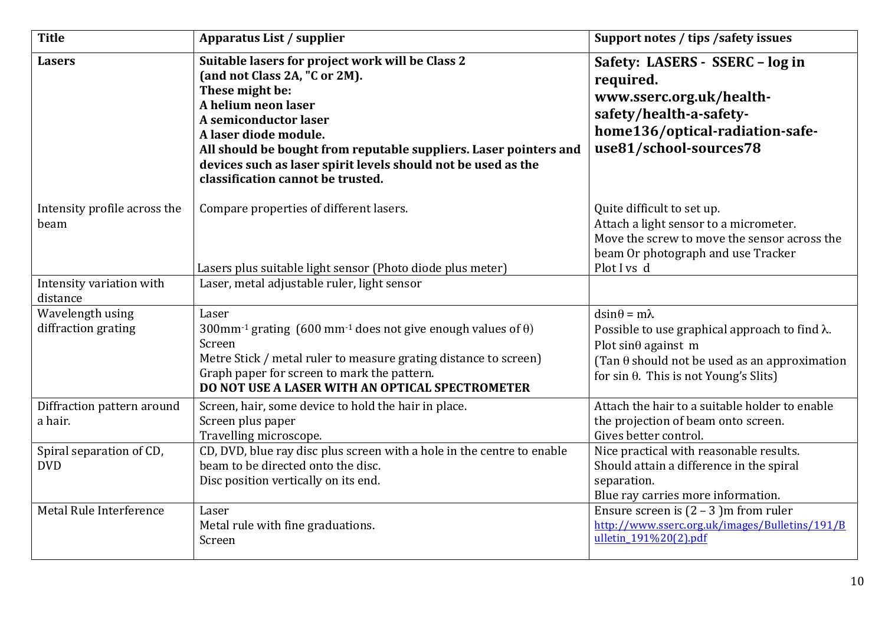| <b>Title</b>                            | <b>Apparatus List / supplier</b>                                                                                                                                                                                                                                                                                                                         | Support notes / tips /safety issues                                                                                                                                                                                       |
|-----------------------------------------|----------------------------------------------------------------------------------------------------------------------------------------------------------------------------------------------------------------------------------------------------------------------------------------------------------------------------------------------------------|---------------------------------------------------------------------------------------------------------------------------------------------------------------------------------------------------------------------------|
| <b>Lasers</b>                           | Suitable lasers for project work will be Class 2<br>(and not Class 2A, "C or 2M).<br>These might be:<br>A helium neon laser<br>A semiconductor laser<br>A laser diode module.<br>All should be bought from reputable suppliers. Laser pointers and<br>devices such as laser spirit levels should not be used as the<br>classification cannot be trusted. | Safety: LASERS - SSERC - log in<br>required.<br>www.sserc.org.uk/health-<br>safety/health-a-safety-<br>home136/optical-radiation-safe-<br>use81/school-sources78                                                          |
| Intensity profile across the<br>beam    | Compare properties of different lasers.<br>Lasers plus suitable light sensor (Photo diode plus meter)                                                                                                                                                                                                                                                    | Quite difficult to set up.<br>Attach a light sensor to a micrometer.<br>Move the screw to move the sensor across the<br>beam Or photograph and use Tracker<br>Plot I vs d                                                 |
| Intensity variation with                | Laser, metal adjustable ruler, light sensor                                                                                                                                                                                                                                                                                                              |                                                                                                                                                                                                                           |
| distance                                |                                                                                                                                                                                                                                                                                                                                                          |                                                                                                                                                                                                                           |
| Wavelength using<br>diffraction grating | Laser<br>300mm <sup>-1</sup> grating (600 mm <sup>-1</sup> does not give enough values of $\theta$ )<br>Screen<br>Metre Stick / metal ruler to measure grating distance to screen)<br>Graph paper for screen to mark the pattern.<br>DO NOT USE A LASER WITH AN OPTICAL SPECTROMETER                                                                     | $dsin\theta = m\lambda$<br>Possible to use graphical approach to find $\lambda$ .<br>Plot sin $\theta$ against m<br>(Tan $\theta$ should not be used as an approximation<br>for sin $\theta$ . This is not Young's Slits) |
| Diffraction pattern around<br>a hair.   | Screen, hair, some device to hold the hair in place.<br>Screen plus paper<br>Travelling microscope.                                                                                                                                                                                                                                                      | Attach the hair to a suitable holder to enable<br>the projection of beam onto screen.<br>Gives better control.                                                                                                            |
| Spiral separation of CD,<br><b>DVD</b>  | CD, DVD, blue ray disc plus screen with a hole in the centre to enable<br>beam to be directed onto the disc.<br>Disc position vertically on its end.                                                                                                                                                                                                     | Nice practical with reasonable results.<br>Should attain a difference in the spiral<br>separation.<br>Blue ray carries more information.                                                                                  |
| Metal Rule Interference                 | Laser<br>Metal rule with fine graduations.<br>Screen                                                                                                                                                                                                                                                                                                     | Ensure screen is $(2 - 3)$ m from ruler<br>http://www.sserc.org.uk/images/Bulletins/191/B<br>ulletin_191%20(2).pdf                                                                                                        |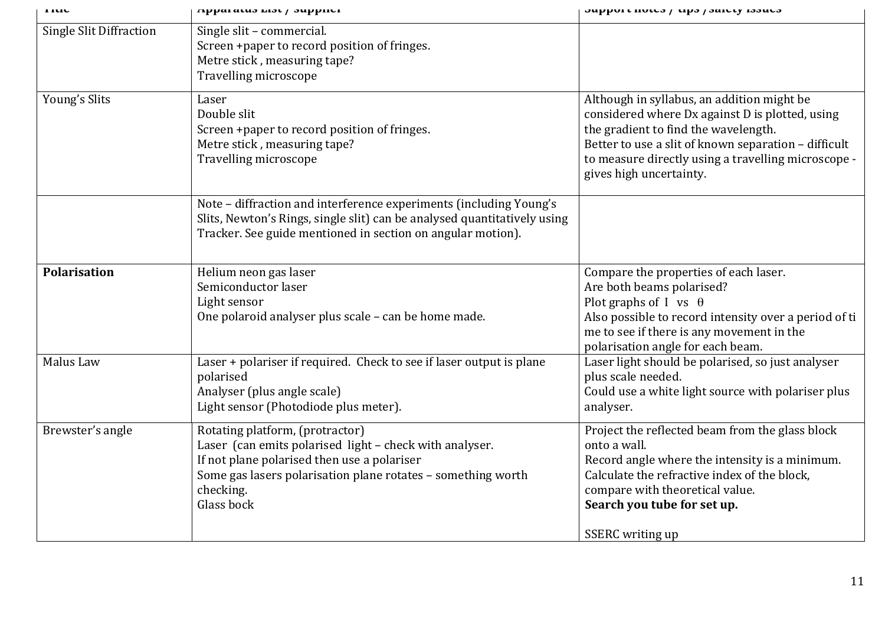| <b>TILIC</b>            | πρραταιάν πιος γιουρείς                                                                                                                                                                                                              | oupport mores / ups / salety issues                                                                                                                                                                                                                                             |
|-------------------------|--------------------------------------------------------------------------------------------------------------------------------------------------------------------------------------------------------------------------------------|---------------------------------------------------------------------------------------------------------------------------------------------------------------------------------------------------------------------------------------------------------------------------------|
| Single Slit Diffraction | Single slit - commercial.<br>Screen +paper to record position of fringes.<br>Metre stick, measuring tape?<br>Travelling microscope                                                                                                   |                                                                                                                                                                                                                                                                                 |
| Young's Slits           | Laser<br>Double slit<br>Screen +paper to record position of fringes.<br>Metre stick, measuring tape?<br>Travelling microscope                                                                                                        | Although in syllabus, an addition might be<br>considered where Dx against D is plotted, using<br>the gradient to find the wavelength.<br>Better to use a slit of known separation - difficult<br>to measure directly using a travelling microscope -<br>gives high uncertainty. |
|                         | Note - diffraction and interference experiments (including Young's<br>Slits, Newton's Rings, single slit) can be analysed quantitatively using<br>Tracker. See guide mentioned in section on angular motion).                        |                                                                                                                                                                                                                                                                                 |
| Polarisation            | Helium neon gas laser<br>Semiconductor laser<br>Light sensor<br>One polaroid analyser plus scale - can be home made.                                                                                                                 | Compare the properties of each laser.<br>Are both beams polarised?<br>Plot graphs of I vs $\theta$<br>Also possible to record intensity over a period of ti<br>me to see if there is any movement in the<br>polarisation angle for each beam.                                   |
| Malus Law               | Laser + polariser if required. Check to see if laser output is plane<br>polarised<br>Analyser (plus angle scale)<br>Light sensor (Photodiode plus meter).                                                                            | Laser light should be polarised, so just analyser<br>plus scale needed.<br>Could use a white light source with polariser plus<br>analyser.                                                                                                                                      |
| Brewster's angle        | Rotating platform, (protractor)<br>Laser (can emits polarised light - check with analyser.<br>If not plane polarised then use a polariser<br>Some gas lasers polarisation plane rotates - something worth<br>checking.<br>Glass bock | Project the reflected beam from the glass block<br>onto a wall.<br>Record angle where the intensity is a minimum.<br>Calculate the refractive index of the block,<br>compare with theoretical value.<br>Search you tube for set up.<br><b>SSERC</b> writing up                  |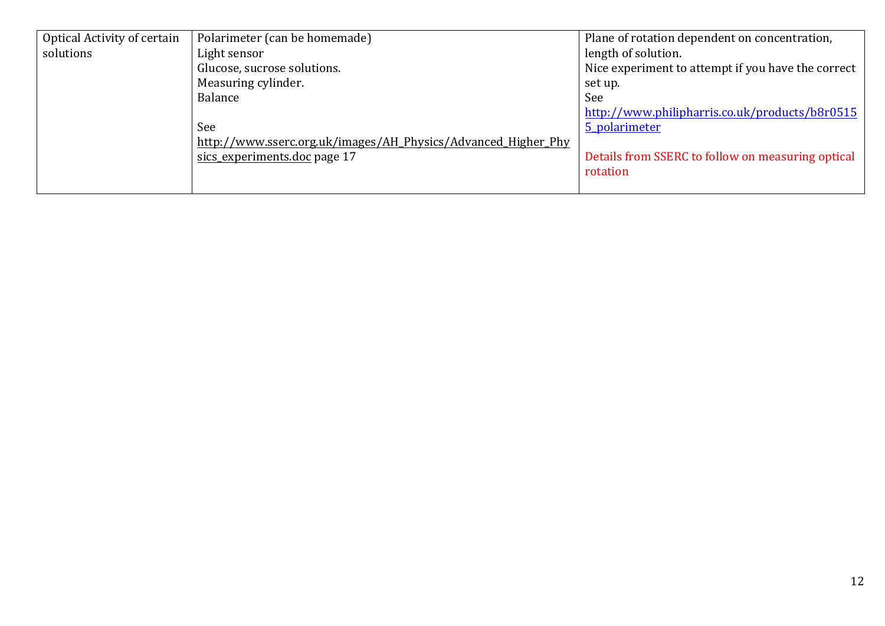| Optical Activity of certain | Polarimeter (can be homemade)                                 | Plane of rotation dependent on concentration,      |
|-----------------------------|---------------------------------------------------------------|----------------------------------------------------|
| solutions                   | Light sensor                                                  | length of solution.                                |
|                             | Glucose, sucrose solutions.                                   | Nice experiment to attempt if you have the correct |
|                             | Measuring cylinder.                                           | set up.                                            |
|                             | Balance                                                       | See                                                |
|                             |                                                               | http://www.philipharris.co.uk/products/b8r0515     |
|                             | <b>See</b>                                                    | 5 polarimeter                                      |
|                             | http://www.sserc.org.uk/images/AH_Physics/Advanced_Higher_Phy |                                                    |
|                             | sics_experiments.doc page 17                                  | Details from SSERC to follow on measuring optical  |
|                             |                                                               | rotation                                           |
|                             |                                                               |                                                    |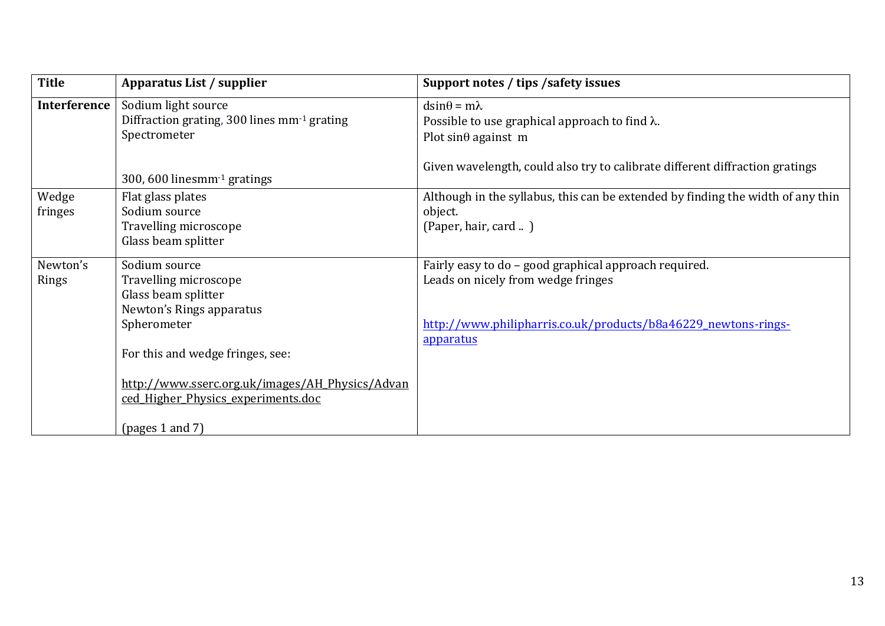| <b>Title</b>        | Apparatus List / supplier                               | Support notes / tips / safety issues                                                       |
|---------------------|---------------------------------------------------------|--------------------------------------------------------------------------------------------|
| <b>Interference</b> | Sodium light source                                     | $dsin\theta = m\lambda$                                                                    |
|                     | Diffraction grating, 300 lines mm <sup>-1</sup> grating | Possible to use graphical approach to find $\lambda$ .                                     |
|                     | Spectrometer                                            | Plot sin $\theta$ against m                                                                |
|                     | 300, 600 linesmm $1$ gratings                           | Given wavelength, could also try to calibrate different diffraction gratings               |
|                     |                                                         |                                                                                            |
| Wedge               | Flat glass plates<br>Sodium source                      | Although in the syllabus, this can be extended by finding the width of any thin<br>object. |
| fringes             | Travelling microscope                                   | (Paper, hair, card)                                                                        |
|                     | Glass beam splitter                                     |                                                                                            |
|                     |                                                         |                                                                                            |
| Newton's            | Sodium source                                           | Fairly easy to do - good graphical approach required.                                      |
| Rings               | Travelling microscope                                   | Leads on nicely from wedge fringes                                                         |
|                     | Glass beam splitter                                     |                                                                                            |
|                     | Newton's Rings apparatus                                |                                                                                            |
|                     | Spherometer                                             | http://www.philipharris.co.uk/products/b8a46229_newtons-rings-                             |
|                     |                                                         | apparatus                                                                                  |
|                     | For this and wedge fringes, see:                        |                                                                                            |
|                     |                                                         |                                                                                            |
|                     | http://www.sserc.org.uk/images/AH_Physics/Advan         |                                                                                            |
|                     | ced_Higher_Physics_experiments.doc                      |                                                                                            |
|                     | (pages 1 and 7)                                         |                                                                                            |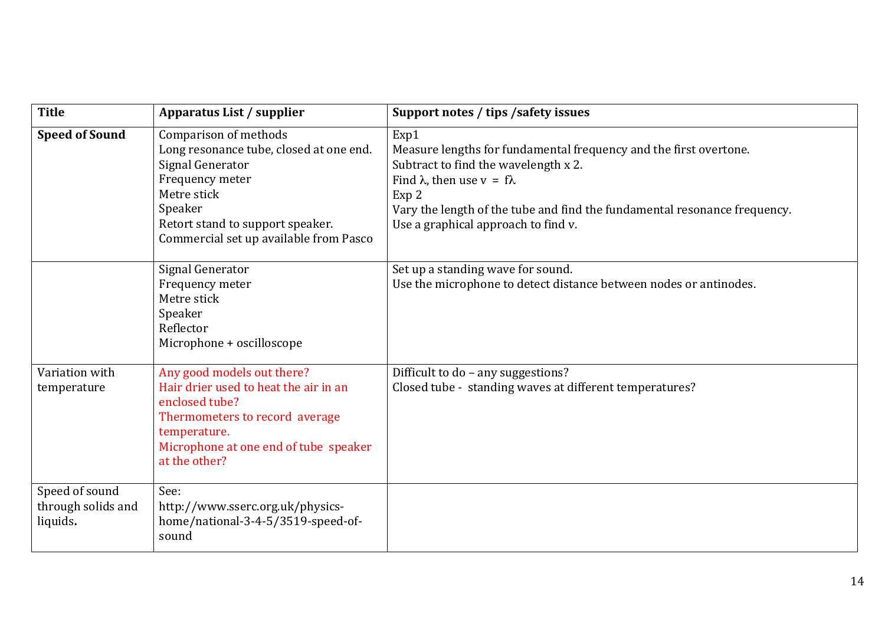| <b>Title</b>                                     | Apparatus List / supplier                                                                                                                                                                                       | Support notes / tips / safety issues                                                                                                                                                                                                                                                       |
|--------------------------------------------------|-----------------------------------------------------------------------------------------------------------------------------------------------------------------------------------------------------------------|--------------------------------------------------------------------------------------------------------------------------------------------------------------------------------------------------------------------------------------------------------------------------------------------|
| <b>Speed of Sound</b>                            | Comparison of methods<br>Long resonance tube, closed at one end.<br>Signal Generator<br>Frequency meter<br>Metre stick<br>Speaker<br>Retort stand to support speaker.<br>Commercial set up available from Pasco | Exp1<br>Measure lengths for fundamental frequency and the first overtone.<br>Subtract to find the wavelength x 2.<br>Find $\lambda$ , then use $v = f\lambda$<br>Exp 2<br>Vary the length of the tube and find the fundamental resonance frequency.<br>Use a graphical approach to find v. |
|                                                  | Signal Generator<br>Frequency meter<br>Metre stick<br>Speaker<br>Reflector<br>Microphone + oscilloscope                                                                                                         | Set up a standing wave for sound.<br>Use the microphone to detect distance between nodes or antinodes.                                                                                                                                                                                     |
| Variation with<br>temperature                    | Any good models out there?<br>Hair drier used to heat the air in an<br>enclosed tube?<br>Thermometers to record average<br>temperature.<br>Microphone at one end of tube speaker<br>at the other?               | Difficult to do - any suggestions?<br>Closed tube - standing waves at different temperatures?                                                                                                                                                                                              |
| Speed of sound<br>through solids and<br>liquids. | See:<br>http://www.sserc.org.uk/physics-<br>home/national-3-4-5/3519-speed-of-<br>sound                                                                                                                         |                                                                                                                                                                                                                                                                                            |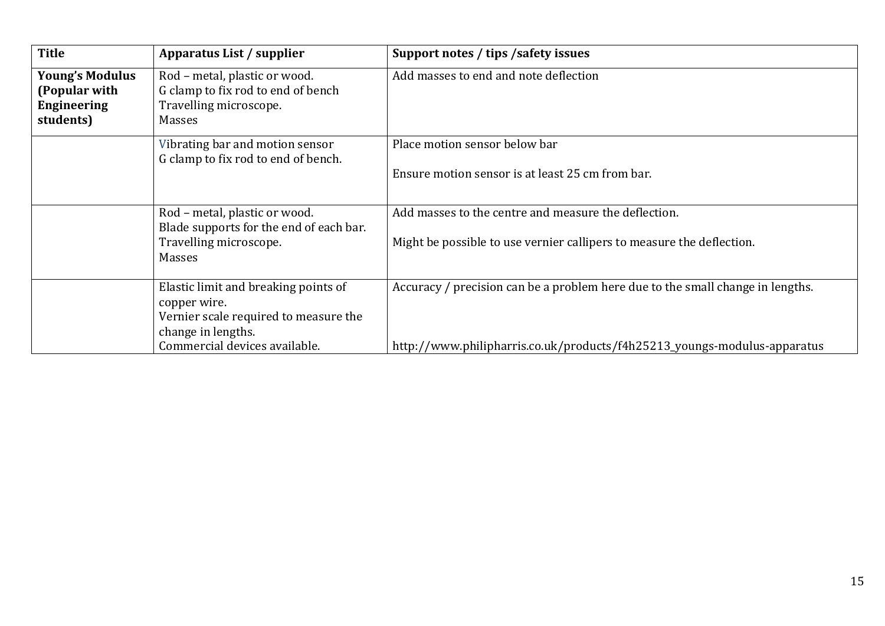| <b>Title</b>                                                               | Apparatus List / supplier                                                                                                                            | Support notes / tips / safety issues                                                                                                                       |
|----------------------------------------------------------------------------|------------------------------------------------------------------------------------------------------------------------------------------------------|------------------------------------------------------------------------------------------------------------------------------------------------------------|
| <b>Young's Modulus</b><br>(Popular with<br><b>Engineering</b><br>students) | Rod - metal, plastic or wood.<br>G clamp to fix rod to end of bench<br>Travelling microscope.<br><b>Masses</b>                                       | Add masses to end and note deflection                                                                                                                      |
|                                                                            | Vibrating bar and motion sensor<br>G clamp to fix rod to end of bench.                                                                               | Place motion sensor below bar<br>Ensure motion sensor is at least 25 cm from bar.                                                                          |
|                                                                            | Rod - metal, plastic or wood.<br>Blade supports for the end of each bar.<br>Travelling microscope.<br><b>Masses</b>                                  | Add masses to the centre and measure the deflection.<br>Might be possible to use vernier callipers to measure the deflection.                              |
|                                                                            | Elastic limit and breaking points of<br>copper wire.<br>Vernier scale required to measure the<br>change in lengths.<br>Commercial devices available. | Accuracy / precision can be a problem here due to the small change in lengths.<br>http://www.philipharris.co.uk/products/f4h25213_youngs-modulus-apparatus |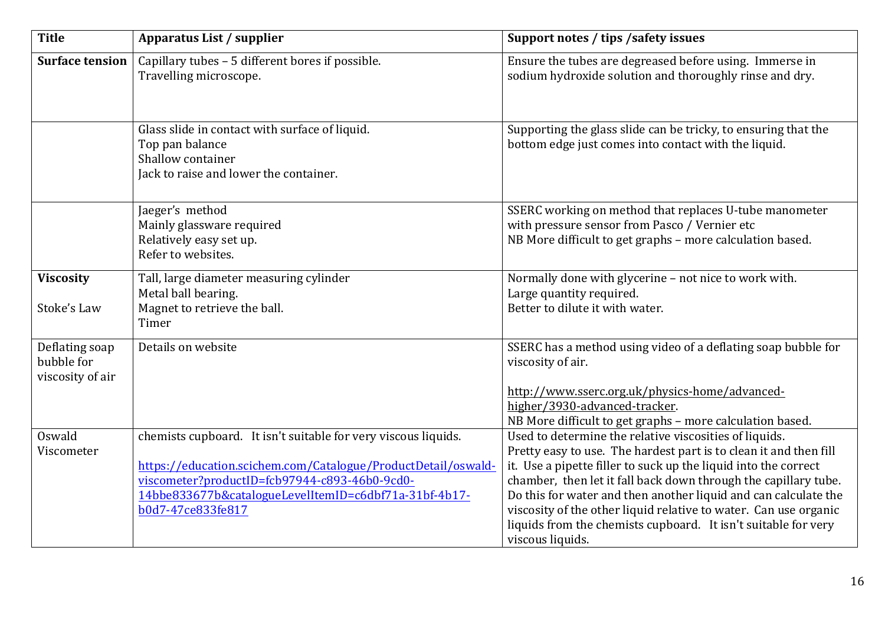| <b>Title</b>                                     | Apparatus List / supplier                                                                                                                                                                                                                                      | Support notes / tips / safety issues                                                                                                                                                                                                                                                                                                                                                                                                                                                           |
|--------------------------------------------------|----------------------------------------------------------------------------------------------------------------------------------------------------------------------------------------------------------------------------------------------------------------|------------------------------------------------------------------------------------------------------------------------------------------------------------------------------------------------------------------------------------------------------------------------------------------------------------------------------------------------------------------------------------------------------------------------------------------------------------------------------------------------|
| <b>Surface tension</b>                           | Capillary tubes - 5 different bores if possible.<br>Travelling microscope.                                                                                                                                                                                     | Ensure the tubes are degreased before using. Immerse in<br>sodium hydroxide solution and thoroughly rinse and dry.                                                                                                                                                                                                                                                                                                                                                                             |
|                                                  | Glass slide in contact with surface of liquid.<br>Top pan balance<br>Shallow container<br>Jack to raise and lower the container.                                                                                                                               | Supporting the glass slide can be tricky, to ensuring that the<br>bottom edge just comes into contact with the liquid.                                                                                                                                                                                                                                                                                                                                                                         |
|                                                  | Jaeger's method<br>Mainly glassware required<br>Relatively easy set up.<br>Refer to websites.                                                                                                                                                                  | SSERC working on method that replaces U-tube manometer<br>with pressure sensor from Pasco / Vernier etc<br>NB More difficult to get graphs - more calculation based.                                                                                                                                                                                                                                                                                                                           |
| <b>Viscosity</b><br>Stoke's Law                  | Tall, large diameter measuring cylinder<br>Metal ball bearing.<br>Magnet to retrieve the ball.<br>Timer                                                                                                                                                        | Normally done with glycerine - not nice to work with.<br>Large quantity required.<br>Better to dilute it with water.                                                                                                                                                                                                                                                                                                                                                                           |
| Deflating soap<br>bubble for<br>viscosity of air | Details on website                                                                                                                                                                                                                                             | SSERC has a method using video of a deflating soap bubble for<br>viscosity of air.<br>http://www.sserc.org.uk/physics-home/advanced-<br>higher/3930-advanced-tracker.<br>NB More difficult to get graphs - more calculation based.                                                                                                                                                                                                                                                             |
| Oswald<br>Viscometer                             | chemists cupboard. It isn't suitable for very viscous liquids.<br>https://education.scichem.com/Catalogue/ProductDetail/oswald-<br>viscometer?productID=fcb97944-c893-46b0-9cd0-<br>14bbe833677b&catalogueLevelItemID=c6dbf71a-31bf-4b17-<br>b0d7-47ce833fe817 | Used to determine the relative viscosities of liquids.<br>Pretty easy to use. The hardest part is to clean it and then fill<br>it. Use a pipette filler to suck up the liquid into the correct<br>chamber, then let it fall back down through the capillary tube.<br>Do this for water and then another liquid and can calculate the<br>viscosity of the other liquid relative to water. Can use organic<br>liquids from the chemists cupboard. It isn't suitable for very<br>viscous liquids. |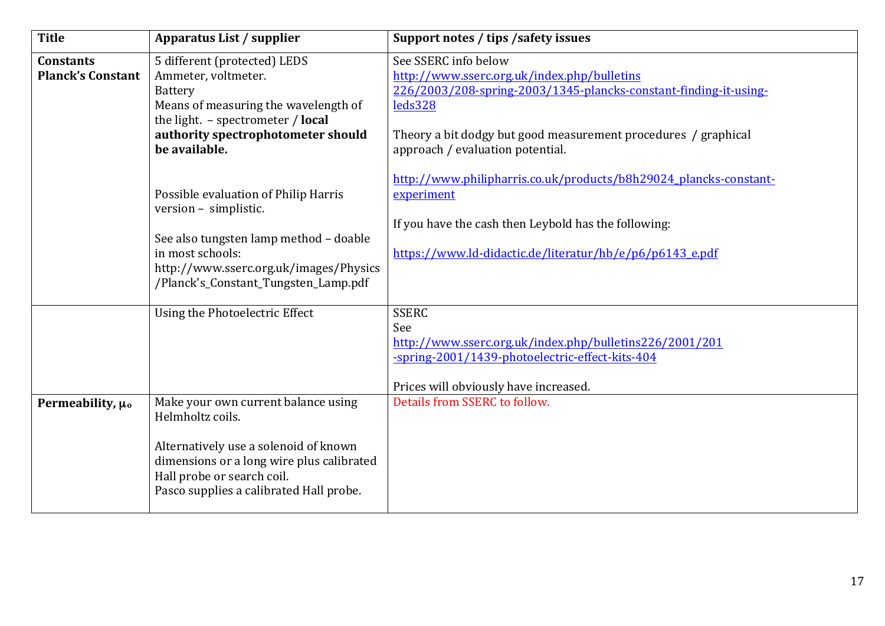| <b>Title</b>                                 | Apparatus List / supplier                                                                                                                                                                                              | Support notes / tips / safety issues                                                                                                                                                                                                                     |
|----------------------------------------------|------------------------------------------------------------------------------------------------------------------------------------------------------------------------------------------------------------------------|----------------------------------------------------------------------------------------------------------------------------------------------------------------------------------------------------------------------------------------------------------|
| <b>Constants</b><br><b>Planck's Constant</b> | 5 different (protected) LEDS<br>Ammeter, voltmeter.<br>Battery<br>Means of measuring the wavelength of<br>the light. $-$ spectrometer / local<br>authority spectrophotometer should<br>be available.                   | See SSERC info below<br>http://www.sserc.org.uk/index.php/bulletins<br>226/2003/208-spring-2003/1345-plancks-constant-finding-it-using-<br>leds328<br>Theory a bit dodgy but good measurement procedures / graphical<br>approach / evaluation potential. |
|                                              | Possible evaluation of Philip Harris<br>version - simplistic.<br>See also tungsten lamp method - doable<br>in most schools:<br>http://www.sserc.org.uk/images/Physics<br>/Planck's_Constant_Tungsten_Lamp.pdf          | http://www.philipharris.co.uk/products/b8h29024_plancks-constant-<br>experiment<br>If you have the cash then Leybold has the following:<br>https://www.ld-didactic.de/literatur/hb/e/p6/p6143_e.pdf                                                      |
|                                              | Using the Photoelectric Effect                                                                                                                                                                                         | <b>SSERC</b><br>See<br>http://www.sserc.org.uk/index.php/bulletins226/2001/201<br>-spring-2001/1439-photoelectric-effect-kits-404<br>Prices will obviously have increased.                                                                               |
| Permeability, $\mu_0$                        | Make your own current balance using<br>Helmholtz coils.<br>Alternatively use a solenoid of known<br>dimensions or a long wire plus calibrated<br>Hall probe or search coil.<br>Pasco supplies a calibrated Hall probe. | Details from SSERC to follow.                                                                                                                                                                                                                            |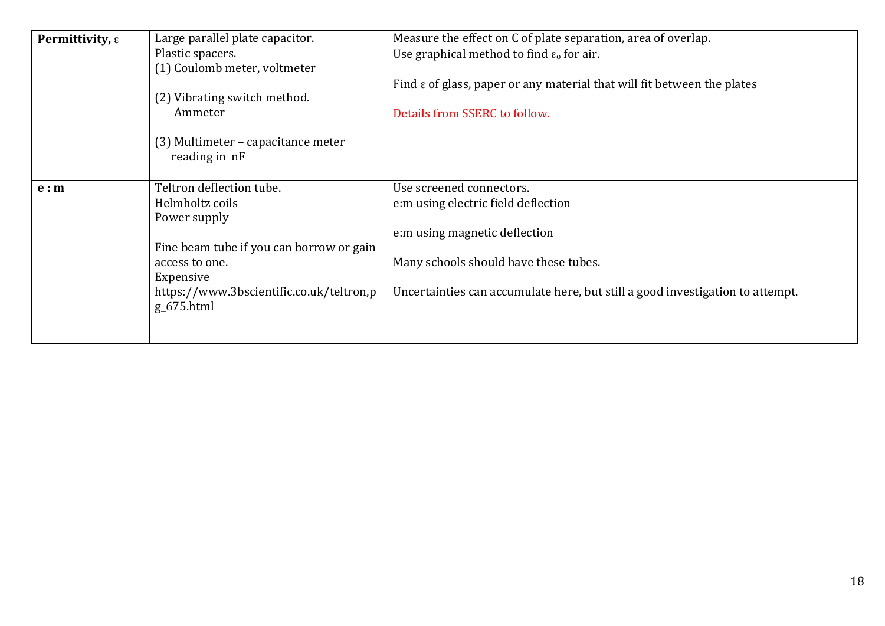| Permittivity, $\varepsilon$ | Large parallel plate capacitor.<br>Plastic spacers.<br>(1) Coulomb meter, voltmeter<br>(2) Vibrating switch method.<br>Ammeter<br>(3) Multimeter – capacitance meter<br>reading in nF                  | Measure the effect on C of plate separation, area of overlap.<br>Use graphical method to find $\varepsilon_0$ for air.<br>Find $\varepsilon$ of glass, paper or any material that will fit between the plates<br>Details from SSERC to follow. |
|-----------------------------|--------------------------------------------------------------------------------------------------------------------------------------------------------------------------------------------------------|------------------------------------------------------------------------------------------------------------------------------------------------------------------------------------------------------------------------------------------------|
| e: m                        | Teltron deflection tube.<br>Helmholtz coils<br>Power supply<br>Fine beam tube if you can borrow or gain<br>access to one.<br>Expensive<br>https://www.3bscientific.co.uk/teltron,p<br>$g_{5.675.html}$ | Use screened connectors.<br>e: m using electric field deflection<br>e: m using magnetic deflection<br>Many schools should have these tubes.<br>Uncertainties can accumulate here, but still a good investigation to attempt.                   |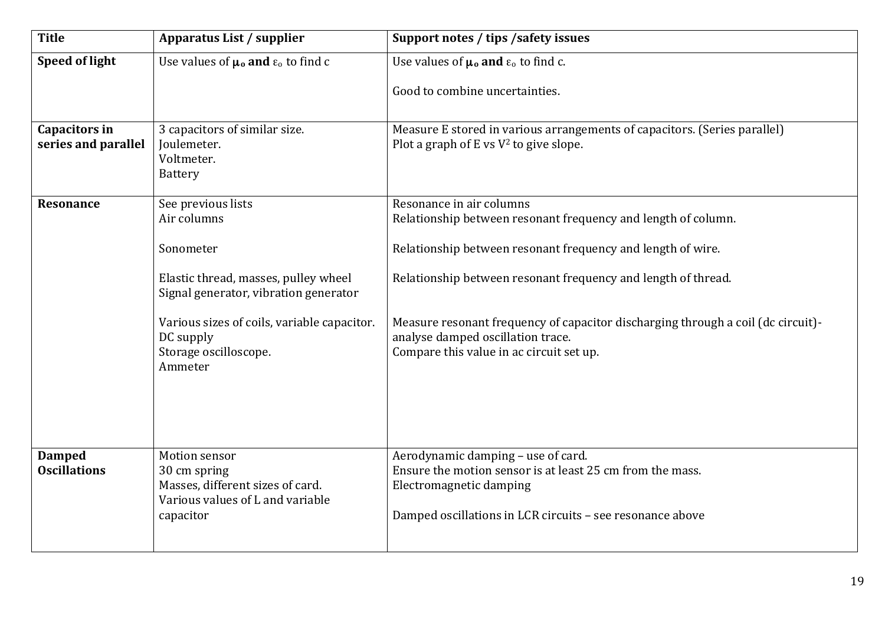| <b>Title</b>                                | Apparatus List / supplier                                                                                                                                                                                                       | Support notes / tips / safety issues                                                                                                                                                                                                                                                                                                                                                           |
|---------------------------------------------|---------------------------------------------------------------------------------------------------------------------------------------------------------------------------------------------------------------------------------|------------------------------------------------------------------------------------------------------------------------------------------------------------------------------------------------------------------------------------------------------------------------------------------------------------------------------------------------------------------------------------------------|
| <b>Speed of light</b>                       | Use values of $\mu_0$ and $\varepsilon_0$ to find c                                                                                                                                                                             | Use values of $\mu_0$ and $\varepsilon_0$ to find c.                                                                                                                                                                                                                                                                                                                                           |
|                                             |                                                                                                                                                                                                                                 | Good to combine uncertainties.                                                                                                                                                                                                                                                                                                                                                                 |
| <b>Capacitors in</b><br>series and parallel | 3 capacitors of similar size.<br>Joulemeter.<br>Voltmeter.<br>Battery                                                                                                                                                           | Measure E stored in various arrangements of capacitors. (Series parallel)<br>Plot a graph of E vs $V^2$ to give slope.                                                                                                                                                                                                                                                                         |
| Resonance                                   | See previous lists<br>Air columns<br>Sonometer<br>Elastic thread, masses, pulley wheel<br>Signal generator, vibration generator<br>Various sizes of coils, variable capacitor.<br>DC supply<br>Storage oscilloscope.<br>Ammeter | Resonance in air columns<br>Relationship between resonant frequency and length of column.<br>Relationship between resonant frequency and length of wire.<br>Relationship between resonant frequency and length of thread.<br>Measure resonant frequency of capacitor discharging through a coil (dc circuit)-<br>analyse damped oscillation trace.<br>Compare this value in ac circuit set up. |
| <b>Damped</b><br><b>Oscillations</b>        | Motion sensor<br>30 cm spring<br>Masses, different sizes of card.<br>Various values of L and variable<br>capacitor                                                                                                              | Aerodynamic damping - use of card.<br>Ensure the motion sensor is at least 25 cm from the mass.<br>Electromagnetic damping<br>Damped oscillations in LCR circuits - see resonance above                                                                                                                                                                                                        |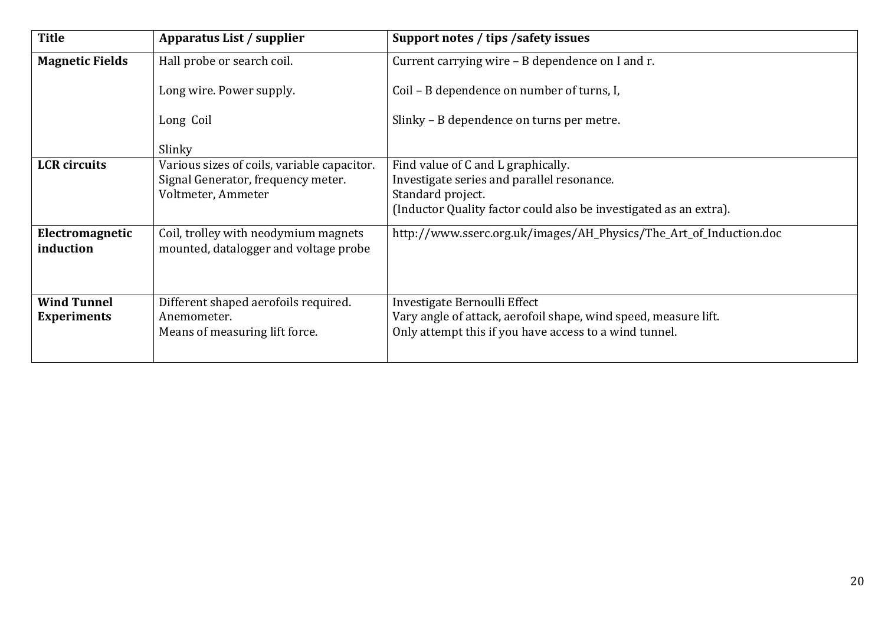| <b>Title</b>                             | Apparatus List / supplier                                                                               | Support notes / tips / safety issues                                                                                                                                       |
|------------------------------------------|---------------------------------------------------------------------------------------------------------|----------------------------------------------------------------------------------------------------------------------------------------------------------------------------|
| <b>Magnetic Fields</b>                   | Hall probe or search coil.                                                                              | Current carrying wire – B dependence on I and r.                                                                                                                           |
|                                          | Long wire. Power supply.                                                                                | Coil - B dependence on number of turns, I,                                                                                                                                 |
|                                          | Long Coil                                                                                               | Slinky - B dependence on turns per metre.                                                                                                                                  |
|                                          | Slinky                                                                                                  |                                                                                                                                                                            |
| <b>LCR</b> circuits                      | Various sizes of coils, variable capacitor.<br>Signal Generator, frequency meter.<br>Voltmeter, Ammeter | Find value of C and L graphically.<br>Investigate series and parallel resonance.<br>Standard project.<br>(Inductor Quality factor could also be investigated as an extra). |
| Electromagnetic<br>induction             | Coil, trolley with neodymium magnets<br>mounted, datalogger and voltage probe                           | http://www.sserc.org.uk/images/AH_Physics/The_Art_of_Induction.doc                                                                                                         |
| <b>Wind Tunnel</b><br><b>Experiments</b> | Different shaped aerofoils required.<br>Anemometer.<br>Means of measuring lift force.                   | Investigate Bernoulli Effect<br>Vary angle of attack, aerofoil shape, wind speed, measure lift.<br>Only attempt this if you have access to a wind tunnel.                  |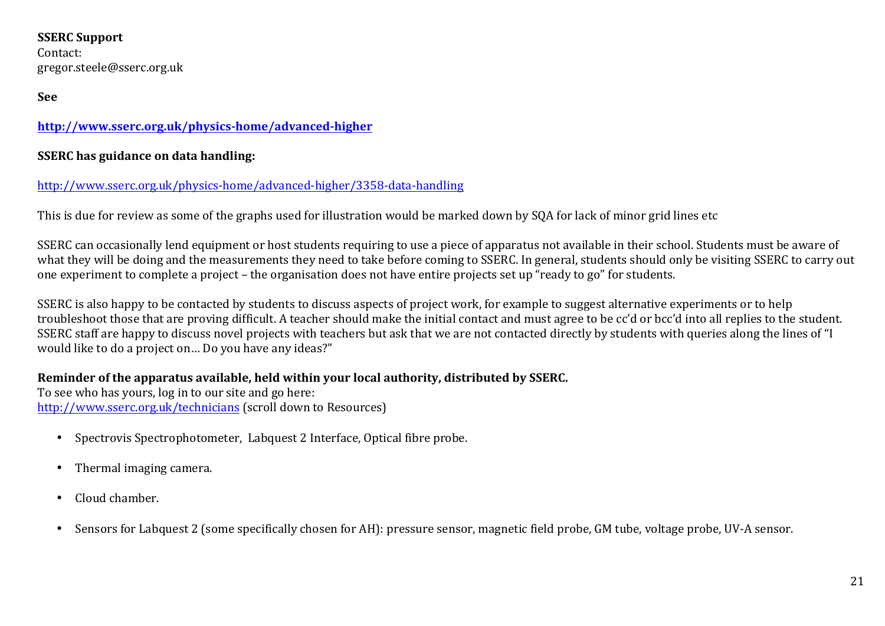### **SSERC Support**

Contact: gregor.steele@sserc.org.uk

### **See**

### http://www.sserc.org.uk/physics-home/advanced-higher

### **SSERC** has guidance on data handling:

### http://www.sserc.org.uk/physics-home/advanced-higher/3358-data-handling

This is due for review as some of the graphs used for illustration would be marked down by SOA for lack of minor grid lines etc

SSERC can occasionally lend equipment or host students requiring to use a piece of apparatus not available in their school. Students must be aware of what they will be doing and the measurements they need to take before coming to SSERC. In general, students should only be visiting SSERC to carry out one experiment to complete a project – the organisation does not have entire projects set up "ready to go" for students.

SSERC is also happy to be contacted by students to discuss aspects of project work, for example to suggest alternative experiments or to help troubleshoot those that are proving difficult. A teacher should make the initial contact and must agree to be cc'd or bcc'd into all replies to the student. SSERC staff are happy to discuss novel projects with teachers but ask that we are not contacted directly by students with queries along the lines of "I would like to do a project on... Do you have any ideas?"

### Reminder of the apparatus available, held within your local authority, distributed by SSERC.

To see who has yours, log in to our site and go here: http://www.sserc.org.uk/technicians (scroll down to Resources)

- Spectrovis Spectrophotometer, Labquest 2 Interface, Optical fibre probe.
- $\bullet$  Thermal imaging camera.
- Cloud chamber.
- Sensors for Labquest 2 (some specifically chosen for AH): pressure sensor, magnetic field probe, GM tube, voltage probe, UV-A sensor.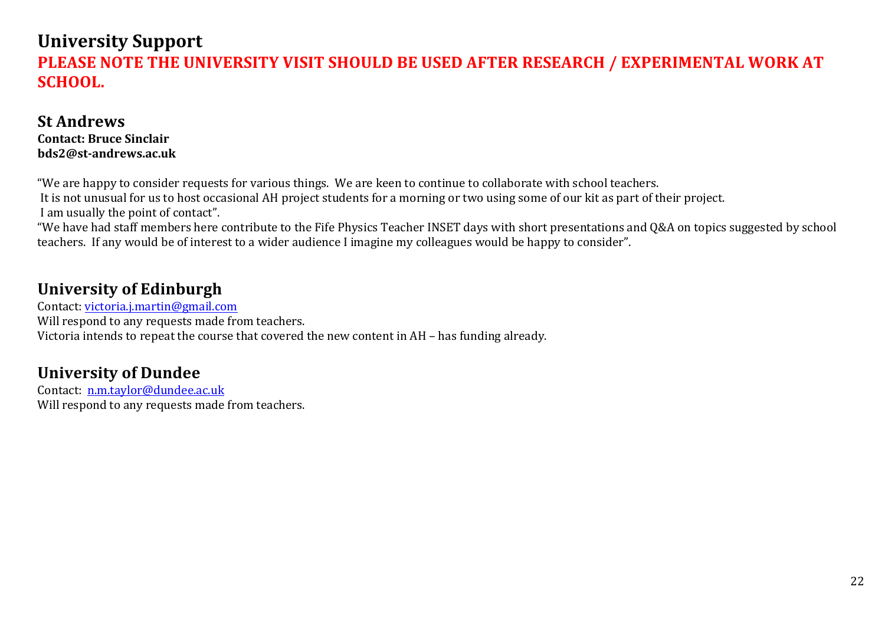# **University Support** PLEASE NOTE THE UNIVERSITY VISIT SHOULD BE USED AFTER RESEARCH / EXPERIMENTAL WORK AT **SCHOOL.**

### **St Andrews Contact: Bruce Sinclair bds2@st-andrews.ac.uk**

"We are happy to consider requests for various things. We are keen to continue to collaborate with school teachers.

It is not unusual for us to host occasional AH project students for a morning or two using some of our kit as part of their project.

I am usually the point of contact".

"We have had staff members here contribute to the Fife Physics Teacher INSET days with short presentations and Q&A on topics suggested by school teachers. If any would be of interest to a wider audience I imagine my colleagues would be happy to consider".

## **University of Edinburgh**

Contact: victoria.j.martin@gmail.com Will respond to any requests made from teachers. Victoria intends to repeat the course that covered the new content in AH – has funding already.

# **University of Dundee**

Contact: n.m.taylor@dundee.ac.uk Will respond to any requests made from teachers.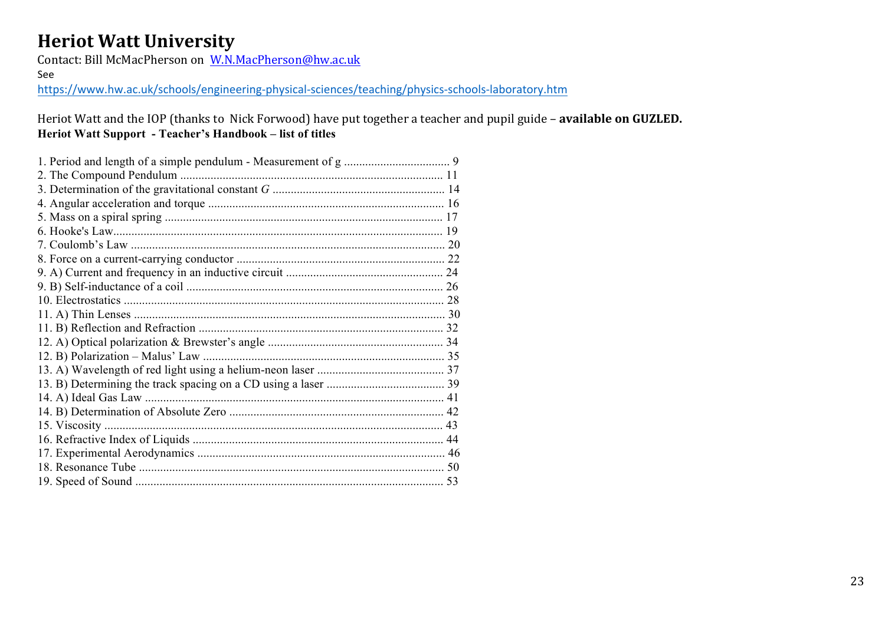# **Heriot Watt University**

Contact: Bill McMacPherson on W.N.MacPherson@hw.ac.uk

See

https://www.hw.ac.uk/schools/engineering-physical-sciences/teaching/physics-schools-laboratory.htm

Heriot Watt and the IOP (thanks to Nick Forwood) have put together a teacher and pupil guide – **available on GUZLED. Heriot Watt Support - Teacher's Handbook – list of titles**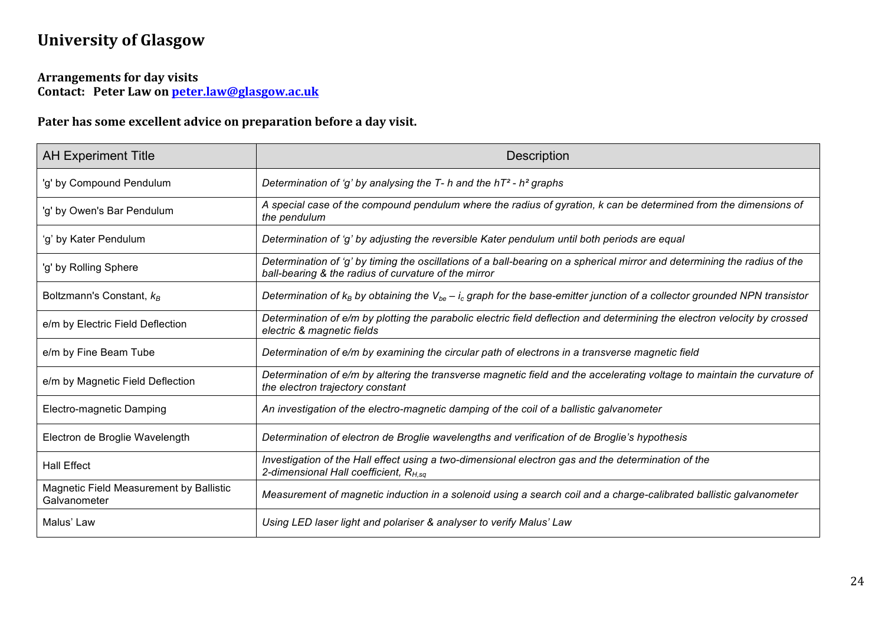# **University of Glasgow**

### **Arrangements for day visits** Contact: Peter Law on peter.law@glasgow.ac.uk

### Pater has some excellent advice on preparation before a day visit.

| <b>AH Experiment Title</b>                              | <b>Description</b>                                                                                                                                                                |
|---------------------------------------------------------|-----------------------------------------------------------------------------------------------------------------------------------------------------------------------------------|
| 'g' by Compound Pendulum                                | Determination of 'g' by analysing the T- h and the $hT^2$ - $h^2$ graphs                                                                                                          |
| 'g' by Owen's Bar Pendulum                              | A special case of the compound pendulum where the radius of gyration, k can be determined from the dimensions of<br>the pendulum                                                  |
| 'g' by Kater Pendulum                                   | Determination of 'g' by adjusting the reversible Kater pendulum until both periods are equal                                                                                      |
| 'g' by Rolling Sphere                                   | Determination of 'g' by timing the oscillations of a ball-bearing on a spherical mirror and determining the radius of the<br>ball-bearing & the radius of curvature of the mirror |
| Boltzmann's Constant, k <sub>B</sub>                    | Determination of $k_B$ by obtaining the $V_{be} - i_c$ graph for the base-emitter junction of a collector grounded NPN transistor                                                 |
| e/m by Electric Field Deflection                        | Determination of e/m by plotting the parabolic electric field deflection and determining the electron velocity by crossed<br>electric & magnetic fields                           |
| e/m by Fine Beam Tube                                   | Determination of e/m by examining the circular path of electrons in a transverse magnetic field                                                                                   |
| e/m by Magnetic Field Deflection                        | Determination of e/m by altering the transverse magnetic field and the accelerating voltage to maintain the curvature of<br>the electron trajectory constant                      |
| Electro-magnetic Damping                                | An investigation of the electro-magnetic damping of the coil of a ballistic galvanometer                                                                                          |
| Electron de Broglie Wavelength                          | Determination of electron de Broglie wavelengths and verification of de Broglie's hypothesis                                                                                      |
| <b>Hall Effect</b>                                      | Investigation of the Hall effect using a two-dimensional electron gas and the determination of the<br>2-dimensional Hall coefficient, R <sub>H,sq</sub>                           |
| Magnetic Field Measurement by Ballistic<br>Galvanometer | Measurement of magnetic induction in a solenoid using a search coil and a charge-calibrated ballistic galvanometer                                                                |
| Malus' Law                                              | Using LED laser light and polariser & analyser to verify Malus' Law                                                                                                               |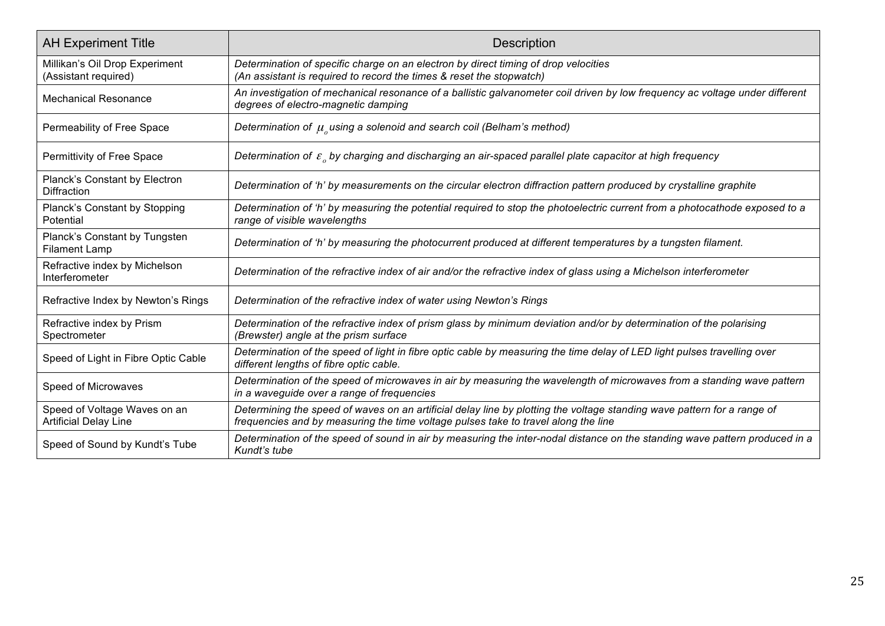| <b>AH Experiment Title</b>                                   | <b>Description</b>                                                                                                                                                                                            |
|--------------------------------------------------------------|---------------------------------------------------------------------------------------------------------------------------------------------------------------------------------------------------------------|
| Millikan's Oil Drop Experiment<br>(Assistant required)       | Determination of specific charge on an electron by direct timing of drop velocities<br>(An assistant is required to record the times & reset the stopwatch)                                                   |
| <b>Mechanical Resonance</b>                                  | An investigation of mechanical resonance of a ballistic galvanometer coil driven by low frequency ac voltage under different<br>degrees of electro-magnetic damping                                           |
| Permeability of Free Space                                   | Determination of $\mu_{\rho}$ using a solenoid and search coil (Belham's method)                                                                                                                              |
| Permittivity of Free Space                                   | Determination of $\varepsilon_a$ by charging and discharging an air-spaced parallel plate capacitor at high frequency                                                                                         |
| Planck's Constant by Electron<br>Diffraction                 | Determination of 'h' by measurements on the circular electron diffraction pattern produced by crystalline graphite                                                                                            |
| Planck's Constant by Stopping<br>Potential                   | Determination of 'h' by measuring the potential required to stop the photoelectric current from a photocathode exposed to a<br>range of visible wavelengths                                                   |
| Planck's Constant by Tungsten<br><b>Filament Lamp</b>        | Determination of 'h' by measuring the photocurrent produced at different temperatures by a tungsten filament.                                                                                                 |
| Refractive index by Michelson<br>Interferometer              | Determination of the refractive index of air and/or the refractive index of glass using a Michelson interferometer                                                                                            |
| Refractive Index by Newton's Rings                           | Determination of the refractive index of water using Newton's Rings                                                                                                                                           |
| Refractive index by Prism<br>Spectrometer                    | Determination of the refractive index of prism glass by minimum deviation and/or by determination of the polarising<br>(Brewster) angle at the prism surface                                                  |
| Speed of Light in Fibre Optic Cable                          | Determination of the speed of light in fibre optic cable by measuring the time delay of LED light pulses travelling over<br>different lengths of fibre optic cable.                                           |
| Speed of Microwaves                                          | Determination of the speed of microwaves in air by measuring the wavelength of microwaves from a standing wave pattern<br>in a waveguide over a range of frequencies                                          |
| Speed of Voltage Waves on an<br><b>Artificial Delay Line</b> | Determining the speed of waves on an artificial delay line by plotting the voltage standing wave pattern for a range of<br>frequencies and by measuring the time voltage pulses take to travel along the line |
| Speed of Sound by Kundt's Tube                               | Determination of the speed of sound in air by measuring the inter-nodal distance on the standing wave pattern produced in a<br>Kundt's tube                                                                   |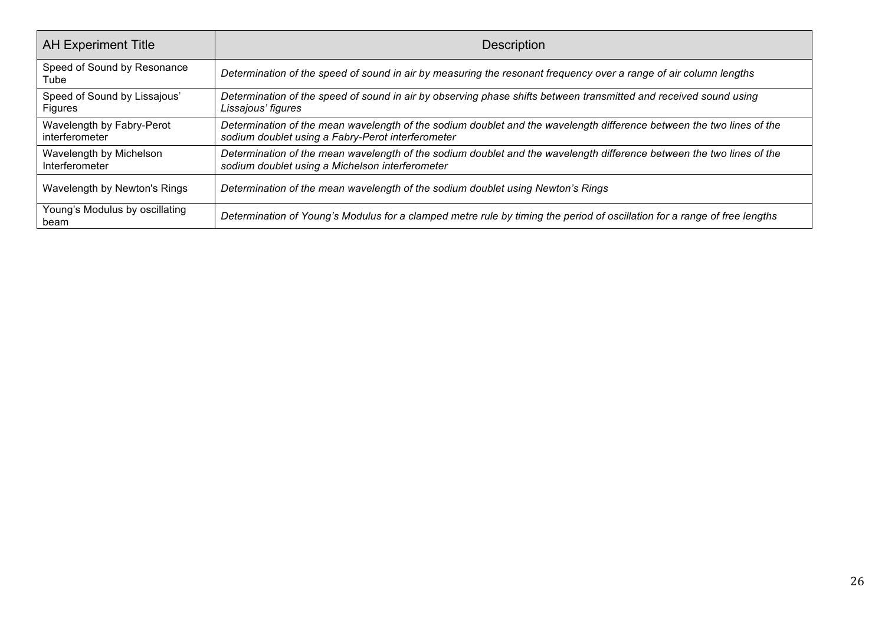| <b>AH Experiment Title</b>                         | <b>Description</b>                                                                                                                                                         |
|----------------------------------------------------|----------------------------------------------------------------------------------------------------------------------------------------------------------------------------|
| Speed of Sound by Resonance<br>Tube                | Determination of the speed of sound in air by measuring the resonant frequency over a range of air column lengths                                                          |
| Speed of Sound by Lissajous'<br>Figures            | Determination of the speed of sound in air by observing phase shifts between transmitted and received sound using<br>Lissajous' figures                                    |
| Wavelength by Fabry-Perot<br><i>interferometer</i> | Determination of the mean wavelength of the sodium doublet and the wavelength difference between the two lines of the<br>sodium doublet using a Fabry-Perot interferometer |
| Wavelength by Michelson<br>Interferometer          | Determination of the mean wavelength of the sodium doublet and the wavelength difference between the two lines of the<br>sodium doublet using a Michelson interferometer   |
| Wavelength by Newton's Rings                       | Determination of the mean wavelength of the sodium doublet using Newton's Rings                                                                                            |
| Young's Modulus by oscillating<br>beam             | Determination of Young's Modulus for a clamped metre rule by timing the period of oscillation for a range of free lengths                                                  |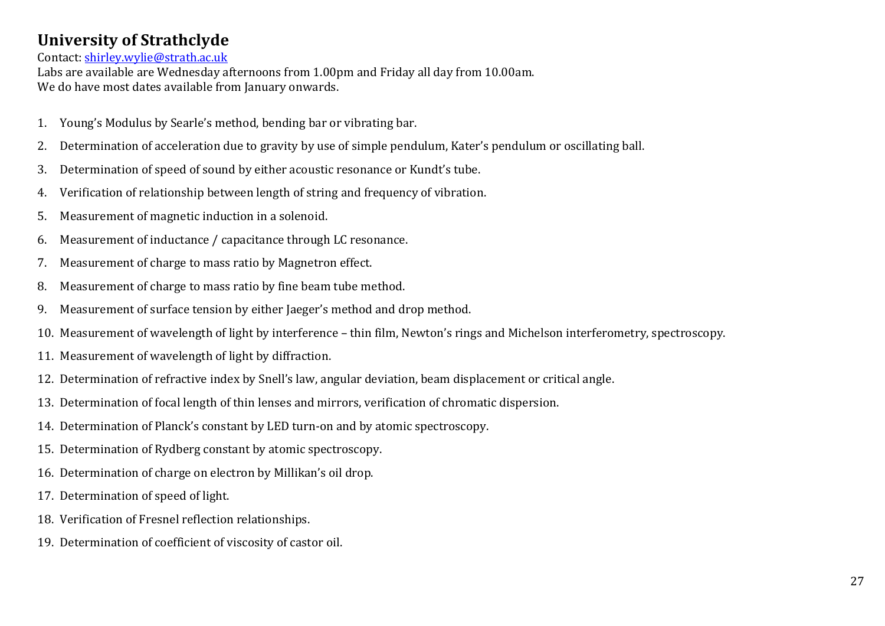# **University of Strathclyde**

Contact: shirley.wylie@strath.ac.uk

Labs are available are Wednesday afternoons from 1.00pm and Friday all day from 10.00am. We do have most dates available from January onwards.

- 1. Young's Modulus by Searle's method, bending bar or vibrating bar.
- 2. Determination of acceleration due to gravity by use of simple pendulum, Kater's pendulum or oscillating ball.
- 3. Determination of speed of sound by either acoustic resonance or Kundt's tube.
- 4. Verification of relationship between length of string and frequency of vibration.
- 5. Measurement of magnetic induction in a solenoid.
- 6. Measurement of inductance / capacitance through LC resonance.
- 7. Measurement of charge to mass ratio by Magnetron effect.
- 8. Measurement of charge to mass ratio by fine beam tube method.
- 9. Measurement of surface tension by either Jaeger's method and drop method.
- 10. Measurement of wavelength of light by interference thin film, Newton's rings and Michelson interferometry, spectroscopy.
- 11. Measurement of wavelength of light by diffraction.
- 12. Determination of refractive index by Snell's law, angular deviation, beam displacement or critical angle.
- 13. Determination of focal length of thin lenses and mirrors, verification of chromatic dispersion.
- 14. Determination of Planck's constant by LED turn-on and by atomic spectroscopy.
- 15. Determination of Rydberg constant by atomic spectroscopy.
- 16. Determination of charge on electron by Millikan's oil drop.
- 17. Determination of speed of light.
- 18. Verification of Fresnel reflection relationships.
- 19. Determination of coefficient of viscosity of castor oil.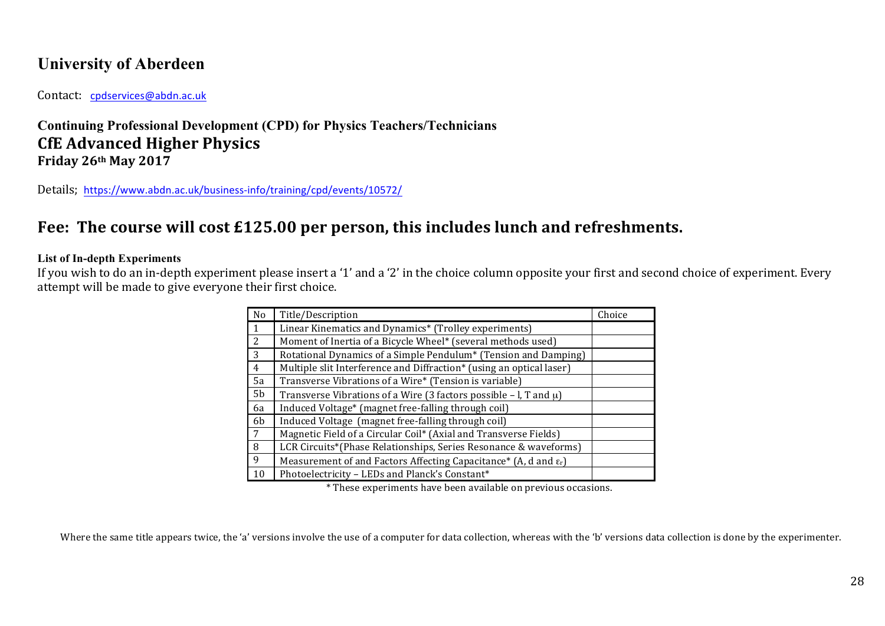## **University of Aberdeen**

Contact: cpdservices@abdn.ac.uk

### **Continuing Professional Development (CPD) for Physics Teachers/Technicians CfE Advanced Higher Physics Friday#26th May#2017**

Details; https://www.abdn.ac.uk/business-info/training/cpd/events/10572/

## Fee: The course will cost £125.00 per person, this includes lunch and refreshments.

#### **List of In-depth Experiments**

If you wish to do an in-depth experiment please insert a '1' and a '2' in the choice column opposite your first and second choice of experiment. Every attempt will be made to give everyone their first choice.

| No             | Title/Description                                                               | Choice |
|----------------|---------------------------------------------------------------------------------|--------|
| $\mathbf{1}$   | Linear Kinematics and Dynamics* (Trolley experiments)                           |        |
| 2              | Moment of Inertia of a Bicycle Wheel* (several methods used)                    |        |
| 3              | Rotational Dynamics of a Simple Pendulum* (Tension and Damping)                 |        |
| 4              | Multiple slit Interference and Diffraction* (using an optical laser)            |        |
| 5a             | Transverse Vibrations of a Wire* (Tension is variable)                          |        |
| 5b             | Transverse Vibrations of a Wire (3 factors possible $-1$ , T and $\mu$ )        |        |
| 6a             | Induced Voltage* (magnet free-falling through coil)                             |        |
| 6 <sub>b</sub> | Induced Voltage (magnet free-falling through coil)                              |        |
| 7              | Magnetic Field of a Circular Coil* (Axial and Transverse Fields)                |        |
| 8              | LCR Circuits*(Phase Relationships, Series Resonance & waveforms)                |        |
| 9              | Measurement of and Factors Affecting Capacitance* (A, d and $\varepsilon_{r}$ ) |        |
| 10             | Photoelectricity - LEDs and Planck's Constant*                                  |        |

\* These experiments have been available on previous occasions.

Where the same title appears twice, the 'a' versions involve the use of a computer for data collection, whereas with the 'b' versions data collection is done by the experimenter.